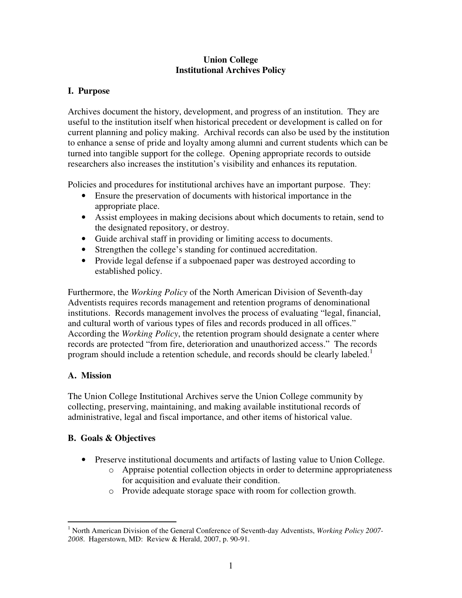#### **Union College Institutional Archives Policy**

### **I. Purpose**

Archives document the history, development, and progress of an institution. They are useful to the institution itself when historical precedent or development is called on for current planning and policy making. Archival records can also be used by the institution to enhance a sense of pride and loyalty among alumni and current students which can be turned into tangible support for the college. Opening appropriate records to outside researchers also increases the institution's visibility and enhances its reputation.

Policies and procedures for institutional archives have an important purpose. They:

- Ensure the preservation of documents with historical importance in the appropriate place.
- Assist employees in making decisions about which documents to retain, send to the designated repository, or destroy.
- Guide archival staff in providing or limiting access to documents.
- Strengthen the college's standing for continued accreditation.
- Provide legal defense if a subpoenaed paper was destroyed according to established policy.

Furthermore, the *Working Policy* of the North American Division of Seventh-day Adventists requires records management and retention programs of denominational institutions. Records management involves the process of evaluating "legal, financial, and cultural worth of various types of files and records produced in all offices." According the *Working Policy*, the retention program should designate a center where records are protected "from fire, deterioration and unauthorized access." The records program should include a retention schedule, and records should be clearly labeled.<sup>1</sup>

## **A. Mission**

The Union College Institutional Archives serve the Union College community by collecting, preserving, maintaining, and making available institutional records of administrative, legal and fiscal importance, and other items of historical value.

## **B. Goals & Objectives**

- Preserve institutional documents and artifacts of lasting value to Union College.
	- o Appraise potential collection objects in order to determine appropriateness for acquisition and evaluate their condition.
	- o Provide adequate storage space with room for collection growth.

 1 North American Division of the General Conference of Seventh-day Adventists, *Working Policy 2007- 2008*. Hagerstown, MD: Review & Herald, 2007, p. 90-91.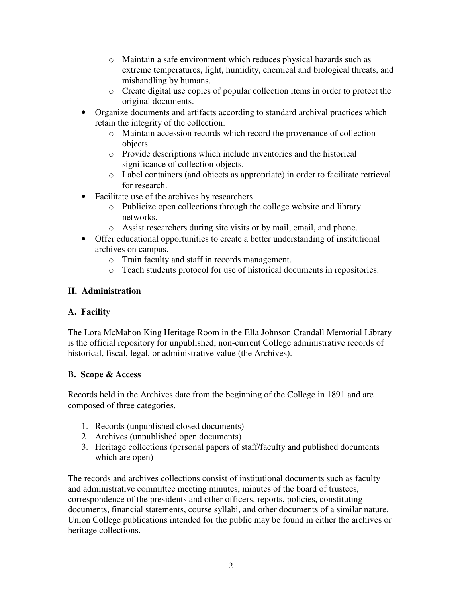- o Maintain a safe environment which reduces physical hazards such as extreme temperatures, light, humidity, chemical and biological threats, and mishandling by humans.
- o Create digital use copies of popular collection items in order to protect the original documents.
- Organize documents and artifacts according to standard archival practices which retain the integrity of the collection.
	- o Maintain accession records which record the provenance of collection objects.
	- o Provide descriptions which include inventories and the historical significance of collection objects.
	- o Label containers (and objects as appropriate) in order to facilitate retrieval for research.
- Facilitate use of the archives by researchers.
	- o Publicize open collections through the college website and library networks.
	- o Assist researchers during site visits or by mail, email, and phone.
- Offer educational opportunities to create a better understanding of institutional archives on campus.
	- o Train faculty and staff in records management.
	- o Teach students protocol for use of historical documents in repositories.

# **II. Administration**

## **A. Facility**

The Lora McMahon King Heritage Room in the Ella Johnson Crandall Memorial Library is the official repository for unpublished, non-current College administrative records of historical, fiscal, legal, or administrative value (the Archives).

# **B. Scope & Access**

Records held in the Archives date from the beginning of the College in 1891 and are composed of three categories.

- 1. Records (unpublished closed documents)
- 2. Archives (unpublished open documents)
- 3. Heritage collections (personal papers of staff/faculty and published documents which are open)

The records and archives collections consist of institutional documents such as faculty and administrative committee meeting minutes, minutes of the board of trustees, correspondence of the presidents and other officers, reports, policies, constituting documents, financial statements, course syllabi, and other documents of a similar nature. Union College publications intended for the public may be found in either the archives or heritage collections.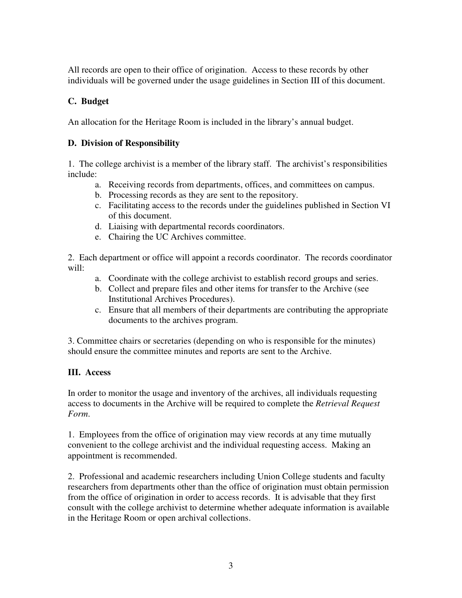All records are open to their office of origination. Access to these records by other individuals will be governed under the usage guidelines in Section III of this document.

### **C. Budget**

An allocation for the Heritage Room is included in the library's annual budget.

### **D. Division of Responsibility**

1. The college archivist is a member of the library staff. The archivist's responsibilities include:

- a. Receiving records from departments, offices, and committees on campus.
- b. Processing records as they are sent to the repository.
- c. Facilitating access to the records under the guidelines published in Section VI of this document.
- d. Liaising with departmental records coordinators.
- e. Chairing the UC Archives committee.

2. Each department or office will appoint a records coordinator. The records coordinator  $will'$ 

- a. Coordinate with the college archivist to establish record groups and series.
- b. Collect and prepare files and other items for transfer to the Archive (see Institutional Archives Procedures).
- c. Ensure that all members of their departments are contributing the appropriate documents to the archives program.

3. Committee chairs or secretaries (depending on who is responsible for the minutes) should ensure the committee minutes and reports are sent to the Archive.

## **III. Access**

In order to monitor the usage and inventory of the archives, all individuals requesting access to documents in the Archive will be required to complete the *Retrieval Request Form*.

1. Employees from the office of origination may view records at any time mutually convenient to the college archivist and the individual requesting access. Making an appointment is recommended.

2. Professional and academic researchers including Union College students and faculty researchers from departments other than the office of origination must obtain permission from the office of origination in order to access records. It is advisable that they first consult with the college archivist to determine whether adequate information is available in the Heritage Room or open archival collections.